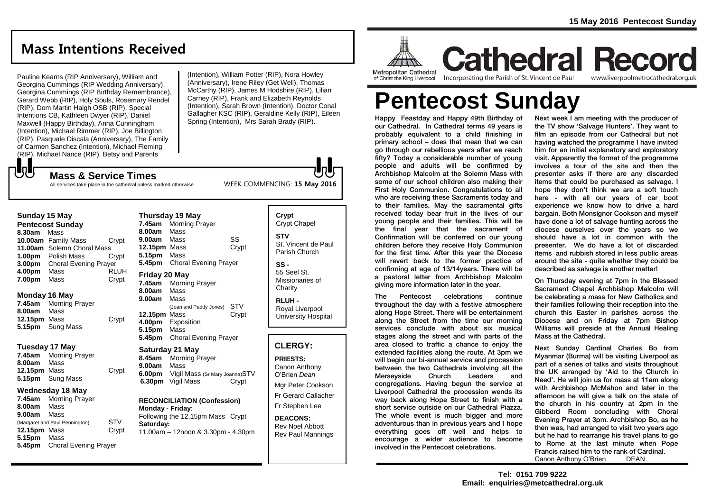# **Mass Intentions Received**

Pauline Kearns (RIP Anniversary), William and Georgina Cummings (RIP Wedding Anniversary), Georgina Cummings (RIP Birthday Remembrance), Gerard Webb (RIP), Holy Souls, Rosemary Rendel (RIP), Dom Martin Haigh OSB (RIP), Special Intentions CB, Kathleen Dwyer (RIP), Daniel Maxwell (Happy Birthday), Anna Cunningham (Intention), Michael Rimmer (RIP), Joe Billington (RIP), Pasquale Discala (Anniversary), The Family of Carmen Sanchez (Intention), Michael Fleming (RIP), Michael Nance (RIP), Betsy and Parents

(Intention), William Potter (RIP), Nora Howley (Anniversary), Irene Riley (Get Well), Thomas McCarthy (RIP), James M Hodshire (RIP), Lilian Carney (RIP), Frank and Elizabeth Reynolds (Intention), Sarah Brown (Intention), Doctor Conal Gallagher KSC (RIP), Geraldine Kelly (RIP), Eileen Spring (Intention), Mrs Sarah Brady (RIP).

WEEK COMMENCING: **15 May 2016**

All services take place in the cathedral unless marked otherwise

**Mass & Service Times**

#### **Sunday 15 May**

もし

**Pentecost Sunday 8.30am** Mass **10.00am** Family Mass Crypt **11.00am** Solemn Choral Mass **1.00pm** Polish Mass Crypt **3.00pm** Choral Evening Prayer **4.00pm** Mass RLUH **7.00pm** Mass Crypt

#### **Monday 16 May**

**7.45am** Morning Prayer **8.00am** Mass **12.15pm** Mass Crypt **5.15pm** Sung Mass

#### **Tuesday 17 May**

**7.45am** Morning Prayer **8.00am** Mass **12.15pm** Mass Crypt **5.15pm** Sung Mass

#### **Wednesday 18 May**

**7.45am** Morning Prayer **8.00am** Mass **9.00am** Mass (Margaret and Paul Pennington) STV<br>**12.15pm** Mass Crypt **12.15pm Mass 5.15pm** Mass **5.45pm** Choral Evening Prayer

#### **Thursday 19 May 7.45am** Morning Prayer **8.00am** Mass **9.00am** Mass SS 12.15pm Mass Crypt **5.15pm** Mass **5.45pm** Choral Evening Prayer **Friday 20 May 7.45am** Morning Prayer **8.00am** Mass **9.00am** Mass (Joan and Paddy Jones) STV **12.15pm Mass 4.00pm** Exposition **5.15pm** Mass **5.45pm** Choral Evening Prayer

**Saturday 21 May 8.45am** Morning Prayer **9.00am** Mass **6.00pm** Vigil Mass (Sr Mary Joanna)STV<br>**6.30pm** Vigil Mass **Crypt 6.30pm** Vigil Mass

**RECONCILIATION (Confession) Monday - Friday**: Following the 12.15pm Mass Crypt **Saturday:**

11.00am – 12noon & 3.30pm - 4.30pm

### **Crypt**  Crypt Chapel **STV** St. Vincent de Paul Parish Church

**SS -** 55 Seel St, Missionaries of **Charity** 

**RLUH -** Royal Liverpool University Hospital

#### **CLERGY:**

**PRIESTS:** Canon Anthony O'Brien *Dean* Mgr Peter Cookson Fr Gerard Callacher Fr Stephen Lee

**DEACONS:** Rev Noel Abbott Rev Paul Mannings



of Christ the King Liverpool lincorporating the Parish of St. Vincent de Paul

**Cathedral Record** www.liverpoolmetrocathedral.org.uk

# **Pentecost Sunday**

Happy Feastday and Happy 49th Birthday of our Cathedral. In Cathedral terms 49 years is probably equivalent to a child finishing in primary school – does that mean that we can go through our rebellious years after we reach fifty? Today a considerable number of young people and adults will be confirmed by Archbishop Malcolm at the Solemn Mass with some of our school children also making their First Holy Communion. Congratulations to all who are receiving these Sacraments today and to their families. May the sacramental gifts received today bear fruit in the lives of our young people and their families. This will be the final year that the sacrament of Confirmation will be conferred on our young children before they receive Holy Communion for the first time. After this year the Diocese will revert back to the former practice of confirming at age of 13/14years. There will be a pastoral letter from Archbishop Malcolm giving more information later in the year.

The Pentecost celebrations continue throughout the day with a festive atmosphere along Hope Street. There will be entertainment along the Street from the time our morning services conclude with about six musical stages along the street and with parts of the area closed to traffic a chance to enjoy the extended facilities along the route. At 3pm we will begin our bi-annual service and procession between the two Cathedrals involving all the Merseyside Church Leaders and congregations. Having begun the service at Liverpool Cathedral the procession wends its way back along Hope Street to finish with a short service outside on our Cathedral Piazza. The whole event is much bigger and more adventurous than in previous years and I hope everything goes off well and helps to encourage a wider audience to become involved in the Pentecost celebrations.

Next week I am meeting with the producer of the TV show 'Salvage Hunters'. They want to film an episode from our Cathedral but not having watched the programme I have invited him for an initial explanatory and exploratory visit. Apparently the format of the programme involves a tour of the site and then the presenter asks if there are any discarded items that could be purchased as salvage. I hope they don't think we are a soft touch here - with all our years of car boot experience we know how to drive a hard bargain. Both Monsignor Cookson and myself have done a lot of salvage hunting across the diocese ourselves over the years so we should have a lot in common with the presenter. We do have a lot of discarded items and rubbish stored in less public areas around the site - quite whether they could be described as salvage is another matter!

On Thursday evening at 7pm in the Blessed Sacrament Chapel Archbishop Malcolm will be celebrating a mass for New Catholics and their families following their reception into the church this Easter in parishes across the Diocese and on Friday at 7pm Bishop Williams will preside at the Annual Healing Mass at the Cathedral.

Next Sunday Cardinal Charles Bo from Myanmar (Burma) will be visiting Liverpool as part of a series of talks and visits throughout the UK arranged by 'Aid to the Church in Need'. He will join us for mass at 11am along with Archbishop McMahon and later in the afternoon he will give a talk on the state of the church in his country at 2pm in the Gibberd Room concluding with Choral Evening Prayer at 3pm. Archbishop Bo, as he then was, had arranged to visit two years ago but he had to rearrange his travel plans to go to Rome at the last minute when Pope Francis raised him to the rank of Cardinal. Canon Anthony O'Brien DEAN